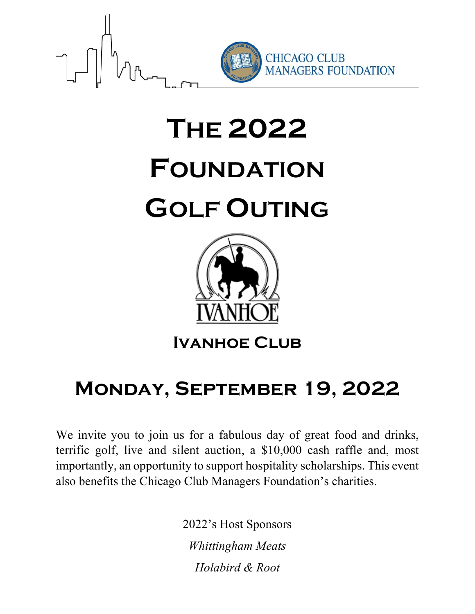

# **THE 2022 FOUNDATION GOLF OUTING**



**Ivanhoe Club**

## **Monday, September 19, 2022**

We invite you to join us for a fabulous day of great food and drinks, terrific golf, live and silent auction, a \$10,000 cash raffle and, most importantly, an opportunity to support hospitality scholarships. This event also benefits the Chicago Club Managers Foundation's charities.

> 2022's Host Sponsors *Whittingham Meats Holabird & Root*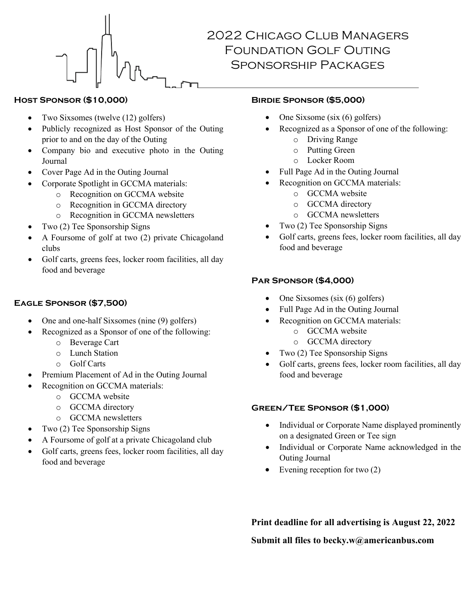

#### 2022 Chicago Club Managers Foundation Golf Outing Sponsorship Packages

#### **Host Sponsor (\$10,000)**

- Two Sixsomes (twelve (12) golfers)
- Publicly recognized as Host Sponsor of the Outing prior to and on the day of the Outing
- Company bio and executive photo in the Outing Journal
- Cover Page Ad in the Outing Journal
- Corporate Spotlight in GCCMA materials:
	- o Recognition on GCCMA website
	- o Recognition in GCCMA directory
	- o Recognition in GCCMA newsletters
- Two (2) Tee Sponsorship Signs
- A Foursome of golf at two (2) private Chicagoland clubs
- Golf carts, greens fees, locker room facilities, all day food and beverage

#### **Eagle Sponsor (\$7,500)**

- One and one-half Sixsomes (nine (9) golfers)
- Recognized as a Sponsor of one of the following:
	- o Beverage Cart
	- o Lunch Station
	- o Golf Carts
- Premium Placement of Ad in the Outing Journal
- Recognition on GCCMA materials:
	- o GCCMA website
	- o GCCMA directory
	- o GCCMA newsletters
- Two (2) Tee Sponsorship Signs
- A Foursome of golf at a private Chicagoland club
- Golf carts, greens fees, locker room facilities, all day food and beverage

#### **Birdie Sponsor (\$5,000)**

- One Sixsome (six (6) golfers)
- Recognized as a Sponsor of one of the following:
	- o Driving Range
	- o Putting Green
	- o Locker Room
- Full Page Ad in the Outing Journal
- Recognition on GCCMA materials:
	- o GCCMA website
	- o GCCMA directory
	- o GCCMA newsletters
- Two (2) Tee Sponsorship Signs
- Golf carts, greens fees, locker room facilities, all day food and beverage

#### **Par Sponsor (\$4,000)**

- One Sixsomes (six (6) golfers)
- Full Page Ad in the Outing Journal
- Recognition on GCCMA materials:
	- o GCCMA website
	- o GCCMA directory
- Two (2) Tee Sponsorship Signs
- Golf carts, greens fees, locker room facilities, all day food and beverage

#### **Green/Tee Sponsor (\$1,000)**

- Individual or Corporate Name displayed prominently on a designated Green or Tee sign
- Individual or Corporate Name acknowledged in the Outing Journal
- Evening reception for two  $(2)$

**Print deadline for all advertising is August 22, 2022 Submit all files to becky.w@americanbus.com**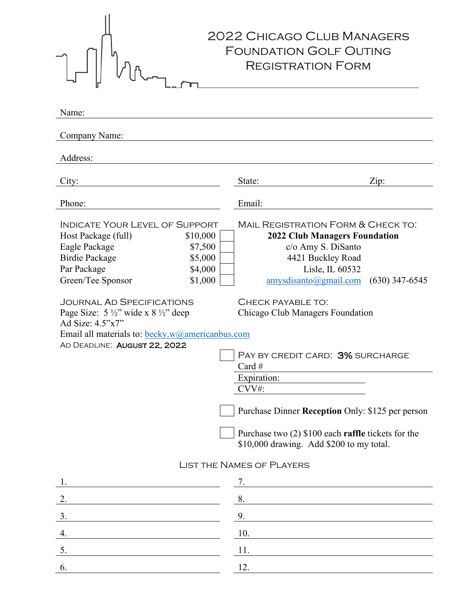| Name:                                                                                                                                                                                                 | <b>2022 CHICAGO CLUB MANAGERS</b><br><b>FOUNDATION GOLF OUTING</b><br><b>REGISTRATION FORM</b>                                                                                          |
|-------------------------------------------------------------------------------------------------------------------------------------------------------------------------------------------------------|-----------------------------------------------------------------------------------------------------------------------------------------------------------------------------------------|
|                                                                                                                                                                                                       |                                                                                                                                                                                         |
| Company Name:                                                                                                                                                                                         |                                                                                                                                                                                         |
| Address:                                                                                                                                                                                              |                                                                                                                                                                                         |
| City:                                                                                                                                                                                                 | State:<br>Zip:                                                                                                                                                                          |
| Phone:                                                                                                                                                                                                | Email:                                                                                                                                                                                  |
| <b>INDICATE YOUR LEVEL OF SUPPORT</b><br>\$10,000<br>Host Package (full)<br>Eagle Package<br>\$7,500<br><b>Birdie Package</b><br>\$5,000<br>Par Package<br>\$4,000<br>\$1,000<br>Green/Tee Sponsor    | MAIL REGISTRATION FORM & CHECK TO:<br><b>2022 Club Managers Foundation</b><br>c/o Amy S. DiSanto<br>4421 Buckley Road<br>Lisle, IL 60532<br>amysdisanto(Qgmail.com)<br>$(630)$ 347-6545 |
| <b>JOURNAL AD SPECIFICATIONS</b><br>Page Size: $5\frac{1}{2}$ " wide x $8\frac{1}{2}$ " deep<br>Ad Size: $4.5"x7"$<br>Email all materials to: becky.w@americanbus.com<br>AD DEADLINE: AUGUST 22, 2022 | CHECK PAYABLE TO:<br>Chicago Club Managers Foundation<br>PAY BY CREDIT CARD: 3% SURCHARGE<br>Card #                                                                                     |
|                                                                                                                                                                                                       | Expiration:<br>CVV#:                                                                                                                                                                    |
|                                                                                                                                                                                                       | Purchase Dinner Reception Only: \$125 per person                                                                                                                                        |
|                                                                                                                                                                                                       | Purchase two $(2)$ \$100 each raffle tickets for the<br>\$10,000 drawing. Add \$200 to my total.                                                                                        |
| <b>LIST THE NAMES OF PLAYERS</b>                                                                                                                                                                      |                                                                                                                                                                                         |
| <u> 1989 - Johann Barbara, martin amerikan personal (</u>                                                                                                                                             | 7.                                                                                                                                                                                      |
| 2.                                                                                                                                                                                                    | 8.                                                                                                                                                                                      |
| 3.                                                                                                                                                                                                    | 9.                                                                                                                                                                                      |
| 4.                                                                                                                                                                                                    | 10.                                                                                                                                                                                     |
| 5.                                                                                                                                                                                                    | 11.                                                                                                                                                                                     |
| 6.                                                                                                                                                                                                    | 12.                                                                                                                                                                                     |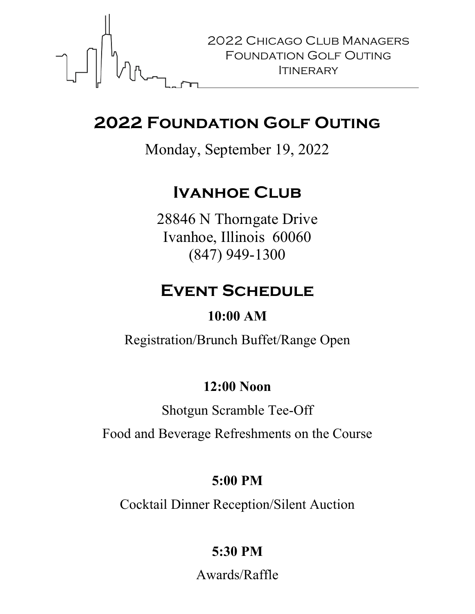

### **2022 Foundation Golf Outing**

Monday, September 19, 2022

### **Ivanhoe Club**

28846 N Thorngate Drive Ivanhoe, Illinois 60060 (847) 949-1300

### **Event Schedule**

#### **10:00 AM**

Registration/Brunch Buffet/Range Open

#### **12:00 Noon**

Shotgun Scramble Tee-Off

Food and Beverage Refreshments on the Course

#### **5:00 PM**

Cocktail Dinner Reception/Silent Auction

### **5:30 PM**

Awards/Raffle